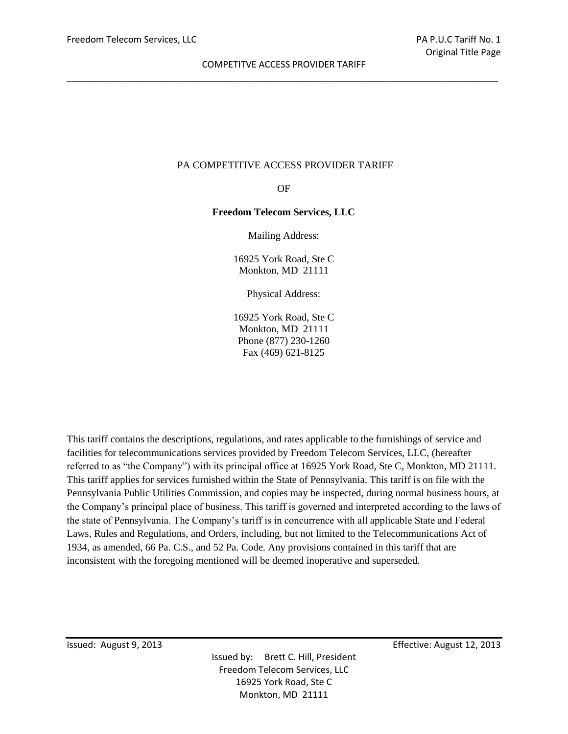#### PA COMPETITIVE ACCESS PROVIDER TARIFF

OF

**Freedom Telecom Services, LLC**

Mailing Address:

16925 York Road, Ste C Monkton, MD 21111

Physical Address:

16925 York Road, Ste C Monkton, MD 21111 Phone (877) 230-1260 Fax (469) 621-8125

This tariff contains the descriptions, regulations, and rates applicable to the furnishings of service and facilities for telecommunications services provided by Freedom Telecom Services, LLC, (hereafter referred to as "the Company") with its principal office at 16925 York Road, Ste C, Monkton, MD 21111. This tariff applies for services furnished within the State of Pennsylvania. This tariff is on file with the Pennsylvania Public Utilities Commission, and copies may be inspected, during normal business hours, at the Company's principal place of business. This tariff is governed and interpreted according to the laws of the state of Pennsylvania. The Company's tariff is in concurrence with all applicable State and Federal Laws, Rules and Regulations, and Orders, including, but not limited to the Telecommunications Act of 1934, as amended, 66 Pa. C.S., and 52 Pa. Code. Any provisions contained in this tariff that are inconsistent with the foregoing mentioned will be deemed inoperative and superseded.

Issued: August 9, 2013 Effective: August 12, 2013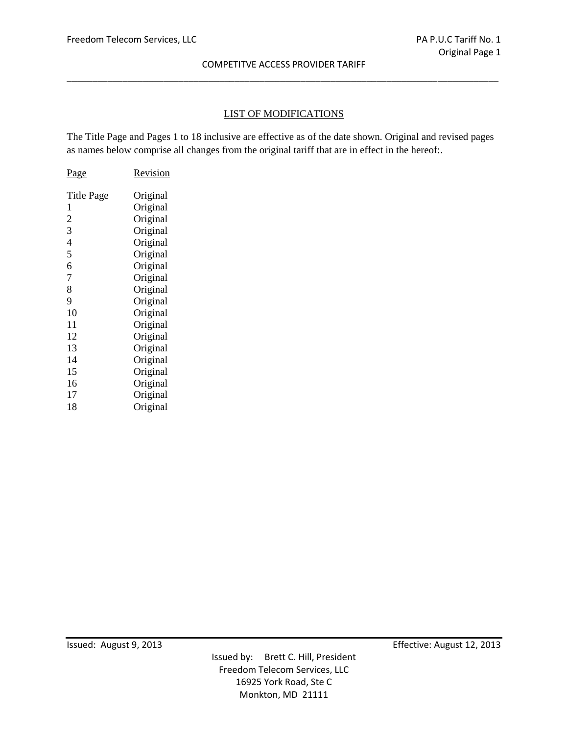# LIST OF MODIFICATIONS

The Title Page and Pages 1 to 18 inclusive are effective as of the date shown. Original and revised pages as names below comprise all changes from the original tariff that are in effect in the hereof:.

| Revision |
|----------|
| Original |
| Original |
| Original |
| Original |
| Original |
| Original |
| Original |
| Original |
| Original |
| Original |
| Original |
| Original |
| Original |
| Original |
| Original |
| Original |
| Original |
| Original |
| Original |
|          |

Issued by: Brett C. Hill, President Freedom Telecom Services, LLC 16925 York Road, Ste C Monkton, MD 21111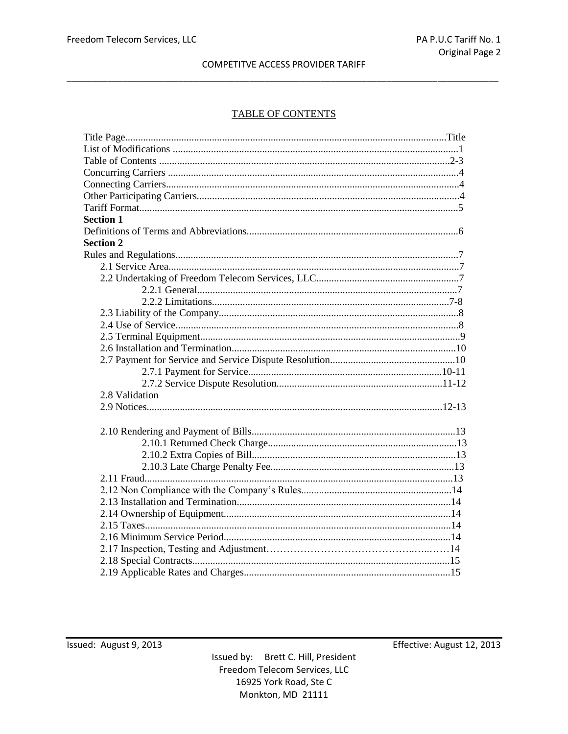# COMPETITVE ACCESS PROVIDER TARIFF

# **TABLE OF CONTENTS**

| <b>Section 1</b> |  |
|------------------|--|
|                  |  |
| <b>Section 2</b> |  |
|                  |  |
|                  |  |
|                  |  |
|                  |  |
|                  |  |
|                  |  |
|                  |  |
|                  |  |
|                  |  |
|                  |  |
|                  |  |
|                  |  |
| 2.8 Validation   |  |
|                  |  |
|                  |  |
|                  |  |
|                  |  |
|                  |  |
|                  |  |
|                  |  |
|                  |  |
|                  |  |
|                  |  |
|                  |  |
|                  |  |
|                  |  |
|                  |  |
|                  |  |
|                  |  |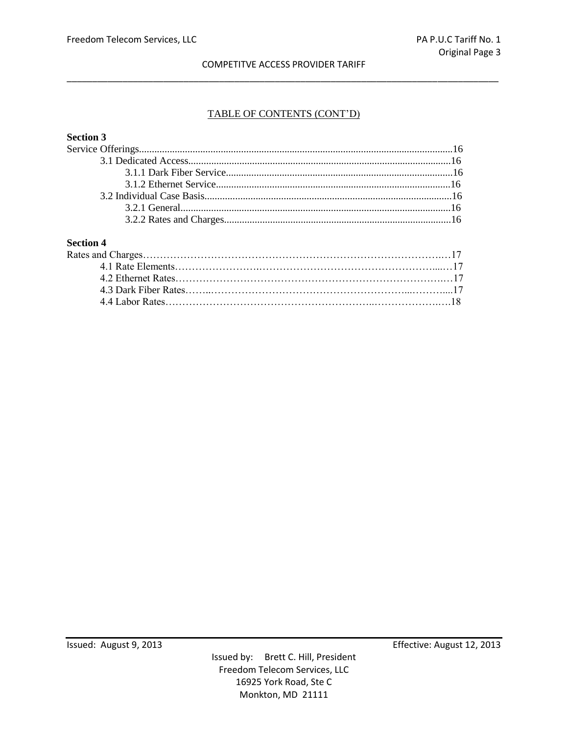# TABLE OF CONTENTS (CONT'D)

# **Section 3**

# **Section 4**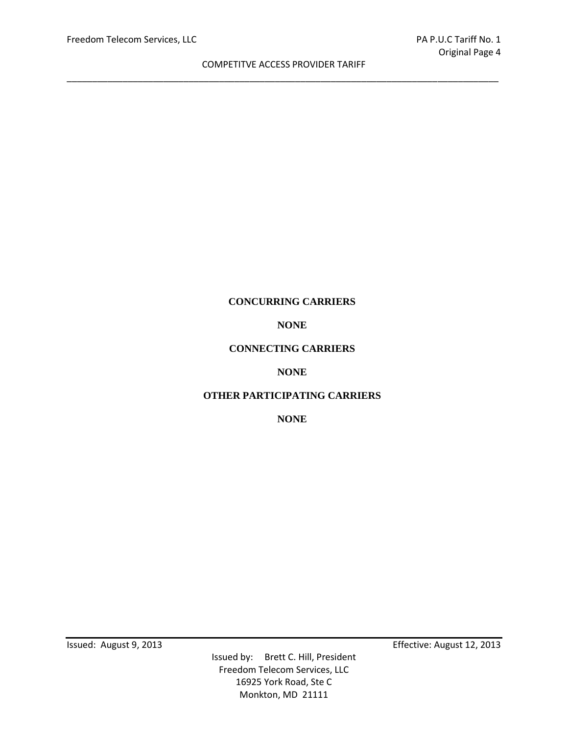# **CONCURRING CARRIERS**

# **NONE**

# **CONNECTING CARRIERS**

# **NONE**

# **OTHER PARTICIPATING CARRIERS**

**NONE** 

Issued by: Brett C. Hill, President Freedom Telecom Services, LLC 16925 York Road, Ste C Monkton, MD 21111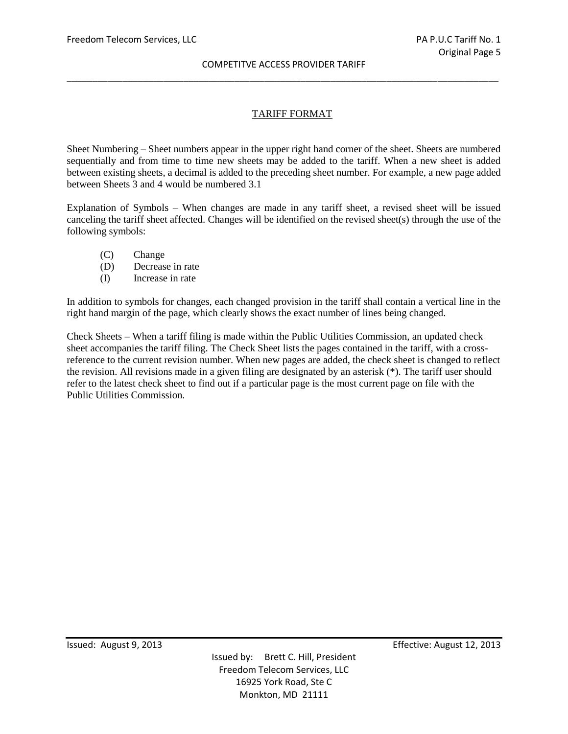# TARIFF FORMAT

Sheet Numbering – Sheet numbers appear in the upper right hand corner of the sheet. Sheets are numbered sequentially and from time to time new sheets may be added to the tariff. When a new sheet is added between existing sheets, a decimal is added to the preceding sheet number. For example, a new page added between Sheets 3 and 4 would be numbered 3.1

Explanation of Symbols – When changes are made in any tariff sheet, a revised sheet will be issued canceling the tariff sheet affected. Changes will be identified on the revised sheet(s) through the use of the following symbols:

- (C) Change
- (D) Decrease in rate
- (I) Increase in rate

In addition to symbols for changes, each changed provision in the tariff shall contain a vertical line in the right hand margin of the page, which clearly shows the exact number of lines being changed.

Check Sheets – When a tariff filing is made within the Public Utilities Commission, an updated check sheet accompanies the tariff filing. The Check Sheet lists the pages contained in the tariff, with a crossreference to the current revision number. When new pages are added, the check sheet is changed to reflect the revision. All revisions made in a given filing are designated by an asterisk (\*). The tariff user should refer to the latest check sheet to find out if a particular page is the most current page on file with the Public Utilities Commission.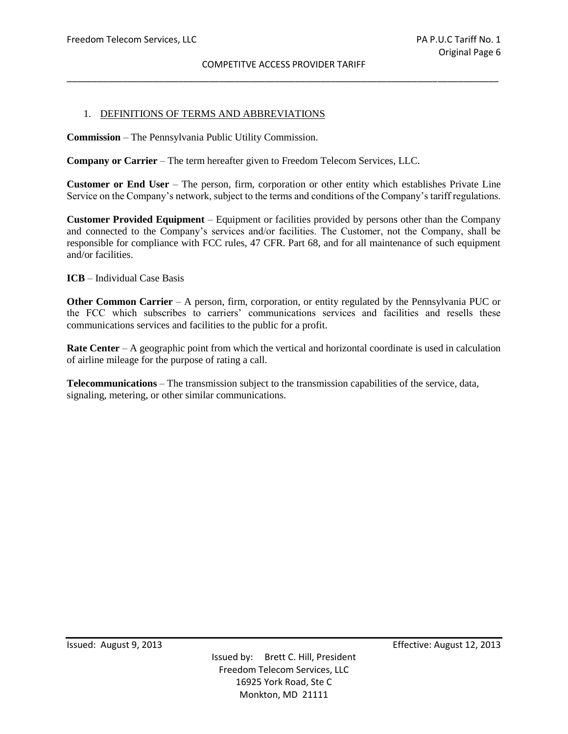### 1. DEFINITIONS OF TERMS AND ABBREVIATIONS

**Commission** – The Pennsylvania Public Utility Commission.

**Company or Carrier** – The term hereafter given to Freedom Telecom Services, LLC.

**Customer or End User** – The person, firm, corporation or other entity which establishes Private Line Service on the Company's network, subject to the terms and conditions of the Company's tariff regulations.

**Customer Provided Equipment** – Equipment or facilities provided by persons other than the Company and connected to the Company's services and/or facilities. The Customer, not the Company, shall be responsible for compliance with FCC rules, 47 CFR. Part 68, and for all maintenance of such equipment and/or facilities.

**ICB** – Individual Case Basis

**Other Common Carrier** – A person, firm, corporation, or entity regulated by the Pennsylvania PUC or the FCC which subscribes to carriers' communications services and facilities and resells these communications services and facilities to the public for a profit.

**Rate Center** – A geographic point from which the vertical and horizontal coordinate is used in calculation of airline mileage for the purpose of rating a call.

**Telecommunications** – The transmission subject to the transmission capabilities of the service, data, signaling, metering, or other similar communications.

Issued by: Brett C. Hill, President Freedom Telecom Services, LLC 16925 York Road, Ste C Monkton, MD 21111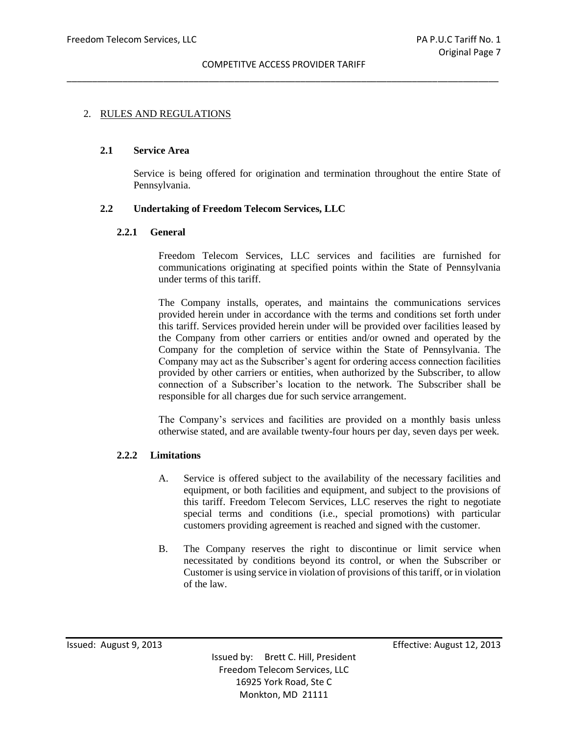## 2. RULES AND REGULATIONS

## **2.1 Service Area**

Service is being offered for origination and termination throughout the entire State of Pennsylvania.

### **2.2 Undertaking of Freedom Telecom Services, LLC**

#### **2.2.1 General**

Freedom Telecom Services, LLC services and facilities are furnished for communications originating at specified points within the State of Pennsylvania under terms of this tariff.

The Company installs, operates, and maintains the communications services provided herein under in accordance with the terms and conditions set forth under this tariff. Services provided herein under will be provided over facilities leased by the Company from other carriers or entities and/or owned and operated by the Company for the completion of service within the State of Pennsylvania. The Company may act as the Subscriber's agent for ordering access connection facilities provided by other carriers or entities, when authorized by the Subscriber, to allow connection of a Subscriber's location to the network. The Subscriber shall be responsible for all charges due for such service arrangement.

The Company's services and facilities are provided on a monthly basis unless otherwise stated, and are available twenty-four hours per day, seven days per week.

#### **2.2.2 Limitations**

- A. Service is offered subject to the availability of the necessary facilities and equipment, or both facilities and equipment, and subject to the provisions of this tariff. Freedom Telecom Services, LLC reserves the right to negotiate special terms and conditions (i.e., special promotions) with particular customers providing agreement is reached and signed with the customer.
- B. The Company reserves the right to discontinue or limit service when necessitated by conditions beyond its control, or when the Subscriber or Customer is using service in violation of provisions of this tariff, or in violation of the law.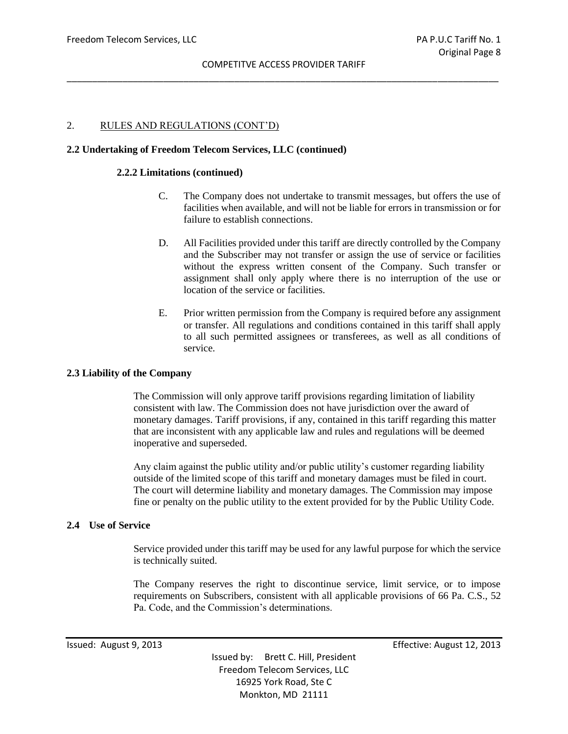### 2. RULES AND REGULATIONS (CONT'D)

#### **2.2 Undertaking of Freedom Telecom Services, LLC (continued)**

#### **2.2.2 Limitations (continued)**

- C. The Company does not undertake to transmit messages, but offers the use of facilities when available, and will not be liable for errors in transmission or for failure to establish connections.
- D. All Facilities provided under this tariff are directly controlled by the Company and the Subscriber may not transfer or assign the use of service or facilities without the express written consent of the Company. Such transfer or assignment shall only apply where there is no interruption of the use or location of the service or facilities.
- E. Prior written permission from the Company is required before any assignment or transfer. All regulations and conditions contained in this tariff shall apply to all such permitted assignees or transferees, as well as all conditions of service.

# **2.3 Liability of the Company**

The Commission will only approve tariff provisions regarding limitation of liability consistent with law. The Commission does not have jurisdiction over the award of monetary damages. Tariff provisions, if any, contained in this tariff regarding this matter that are inconsistent with any applicable law and rules and regulations will be deemed inoperative and superseded.

Any claim against the public utility and/or public utility's customer regarding liability outside of the limited scope of this tariff and monetary damages must be filed in court. The court will determine liability and monetary damages. The Commission may impose fine or penalty on the public utility to the extent provided for by the Public Utility Code.

### **2.4 Use of Service**

Service provided under this tariff may be used for any lawful purpose for which the service is technically suited.

The Company reserves the right to discontinue service, limit service, or to impose requirements on Subscribers, consistent with all applicable provisions of 66 Pa. C.S., 52 Pa. Code, and the Commission's determinations.

Issued: August 9, 2013 Effective: August 12, 2013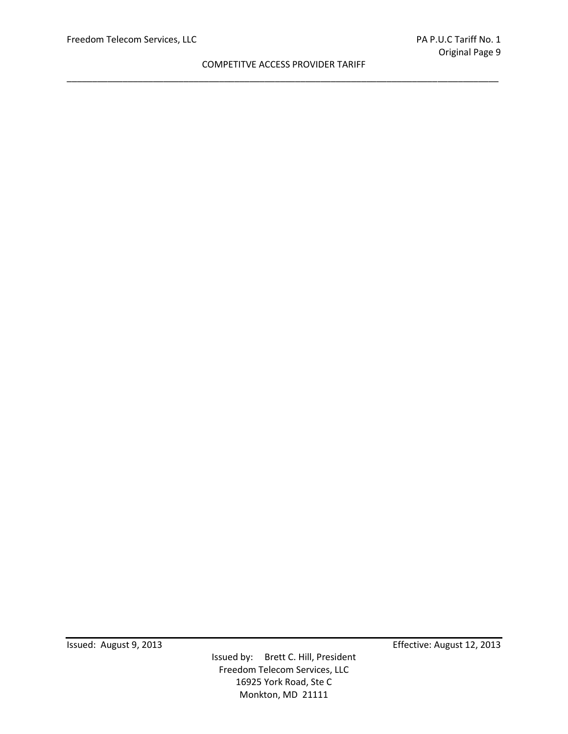Issued by: Brett C. Hill, President Freedom Telecom Services, LLC 16925 York Road, Ste C Monkton, MD 21111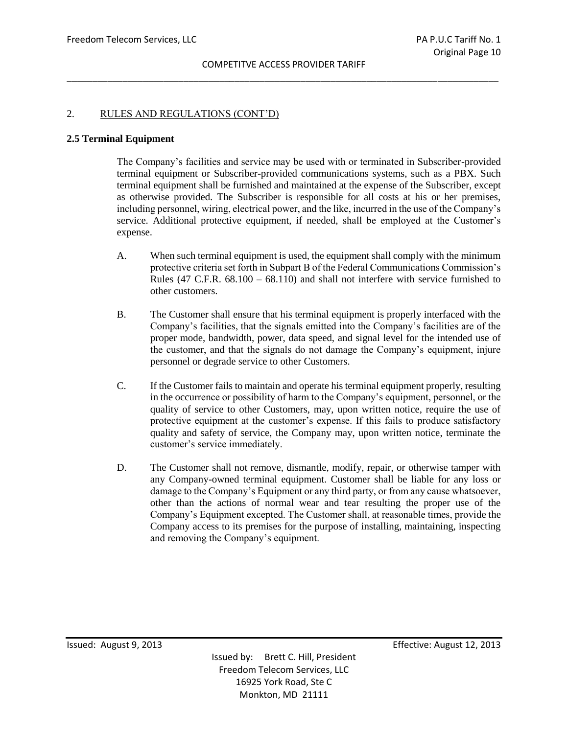#### **2.5 Terminal Equipment**

The Company's facilities and service may be used with or terminated in Subscriber-provided terminal equipment or Subscriber-provided communications systems, such as a PBX. Such terminal equipment shall be furnished and maintained at the expense of the Subscriber, except as otherwise provided. The Subscriber is responsible for all costs at his or her premises, including personnel, wiring, electrical power, and the like, incurred in the use of the Company's service. Additional protective equipment, if needed, shall be employed at the Customer's expense.

- A. When such terminal equipment is used, the equipment shall comply with the minimum protective criteria set forth in Subpart B of the Federal Communications Commission's Rules (47 C.F.R.  $68.100 - 68.110$ ) and shall not interfere with service furnished to other customers.
- B. The Customer shall ensure that his terminal equipment is properly interfaced with the Company's facilities, that the signals emitted into the Company's facilities are of the proper mode, bandwidth, power, data speed, and signal level for the intended use of the customer, and that the signals do not damage the Company's equipment, injure personnel or degrade service to other Customers.
- C. If the Customer fails to maintain and operate his terminal equipment properly, resulting in the occurrence or possibility of harm to the Company's equipment, personnel, or the quality of service to other Customers, may, upon written notice, require the use of protective equipment at the customer's expense. If this fails to produce satisfactory quality and safety of service, the Company may, upon written notice, terminate the customer's service immediately.
- D. The Customer shall not remove, dismantle, modify, repair, or otherwise tamper with any Company-owned terminal equipment. Customer shall be liable for any loss or damage to the Company's Equipment or any third party, or from any cause whatsoever, other than the actions of normal wear and tear resulting the proper use of the Company's Equipment excepted. The Customer shall, at reasonable times, provide the Company access to its premises for the purpose of installing, maintaining, inspecting and removing the Company's equipment.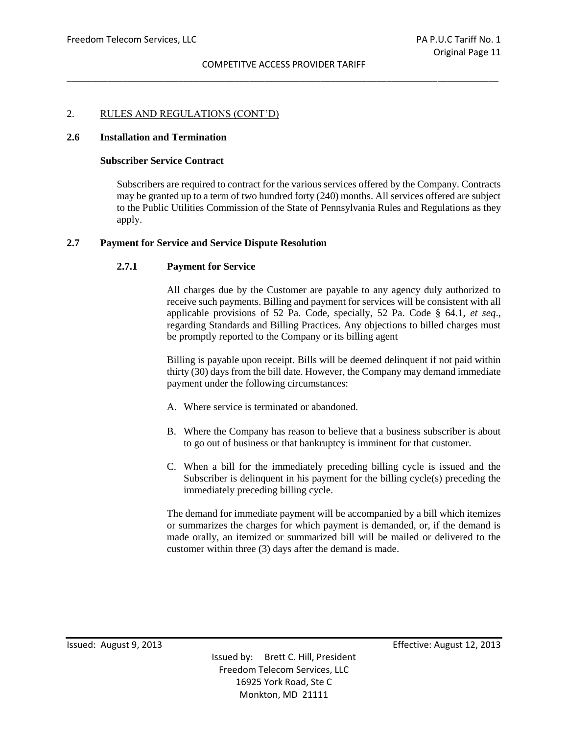#### **2.6 Installation and Termination**

### **Subscriber Service Contract**

Subscribers are required to contract for the various services offered by the Company. Contracts may be granted up to a term of two hundred forty (240) months. All services offered are subject to the Public Utilities Commission of the State of Pennsylvania Rules and Regulations as they apply.

#### **2.7 Payment for Service and Service Dispute Resolution**

## **2.7.1 Payment for Service**

All charges due by the Customer are payable to any agency duly authorized to receive such payments. Billing and payment for services will be consistent with all applicable provisions of 52 Pa. Code, specially, 52 Pa. Code § 64.1, *et seq*., regarding Standards and Billing Practices. Any objections to billed charges must be promptly reported to the Company or its billing agent

Billing is payable upon receipt. Bills will be deemed delinquent if not paid within thirty (30) days from the bill date. However, the Company may demand immediate payment under the following circumstances:

- A. Where service is terminated or abandoned.
- B. Where the Company has reason to believe that a business subscriber is about to go out of business or that bankruptcy is imminent for that customer.
- C. When a bill for the immediately preceding billing cycle is issued and the Subscriber is delinquent in his payment for the billing cycle(s) preceding the immediately preceding billing cycle.

The demand for immediate payment will be accompanied by a bill which itemizes or summarizes the charges for which payment is demanded, or, if the demand is made orally, an itemized or summarized bill will be mailed or delivered to the customer within three (3) days after the demand is made.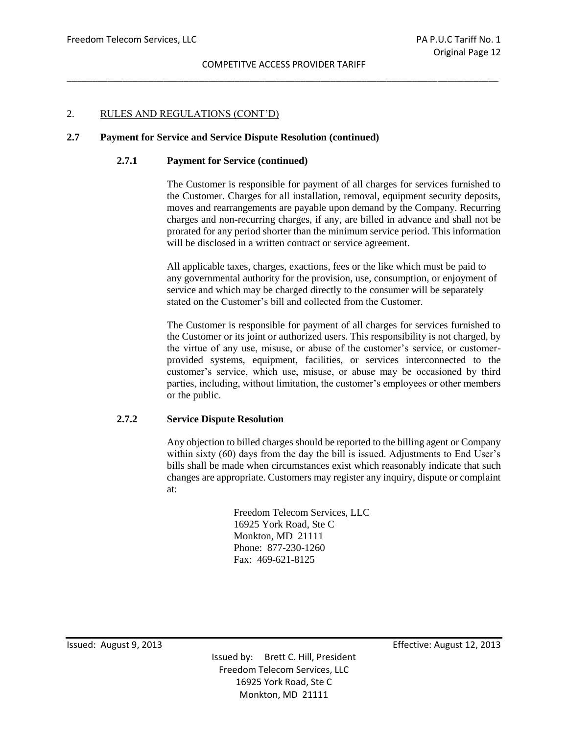### **2.7 Payment for Service and Service Dispute Resolution (continued)**

#### **2.7.1 Payment for Service (continued)**

The Customer is responsible for payment of all charges for services furnished to the Customer. Charges for all installation, removal, equipment security deposits, moves and rearrangements are payable upon demand by the Company. Recurring charges and non-recurring charges, if any, are billed in advance and shall not be prorated for any period shorter than the minimum service period. This information will be disclosed in a written contract or service agreement.

All applicable taxes, charges, exactions, fees or the like which must be paid to any governmental authority for the provision, use, consumption, or enjoyment of service and which may be charged directly to the consumer will be separately stated on the Customer's bill and collected from the Customer.

The Customer is responsible for payment of all charges for services furnished to the Customer or its joint or authorized users. This responsibility is not charged, by the virtue of any use, misuse, or abuse of the customer's service, or customerprovided systems, equipment, facilities, or services interconnected to the customer's service, which use, misuse, or abuse may be occasioned by third parties, including, without limitation, the customer's employees or other members or the public.

## **2.7.2 Service Dispute Resolution**

Any objection to billed charges should be reported to the billing agent or Company within sixty (60) days from the day the bill is issued. Adjustments to End User's bills shall be made when circumstances exist which reasonably indicate that such changes are appropriate. Customers may register any inquiry, dispute or complaint at:

> Freedom Telecom Services, LLC 16925 York Road, Ste C Monkton, MD 21111 Phone: 877-230-1260 Fax: 469-621-8125

Issued: August 9, 2013 Effective: August 12, 2013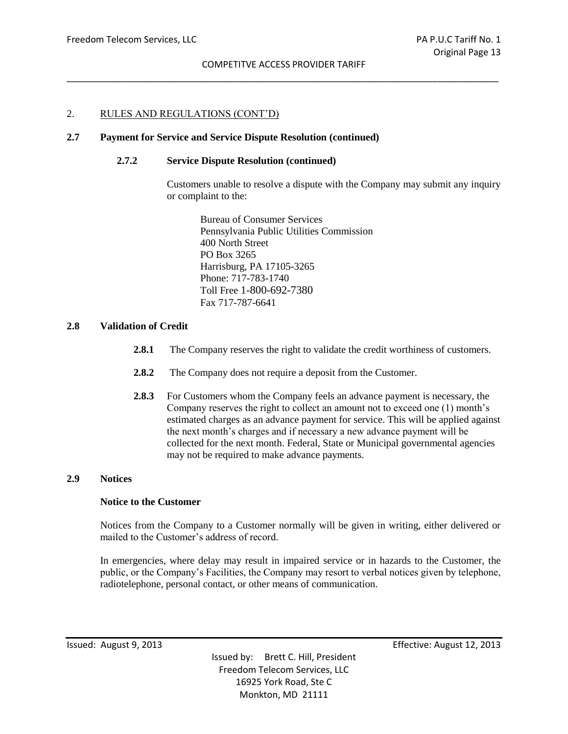# **2.7 Payment for Service and Service Dispute Resolution (continued)**

#### **2.7.2 Service Dispute Resolution (continued)**

Customers unable to resolve a dispute with the Company may submit any inquiry or complaint to the:

Bureau of Consumer Services Pennsylvania Public Utilities Commission 400 North Street PO Box 3265 Harrisburg, PA 17105-3265 Phone: 717-783-1740 Toll Free 1-800-692-7380 Fax 717-787-6641

### **2.8 Validation of Credit**

- **2.8.1** The Company reserves the right to validate the credit worthiness of customers.
- **2.8.2** The Company does not require a deposit from the Customer.
- **2.8.3** For Customers whom the Company feels an advance payment is necessary, the Company reserves the right to collect an amount not to exceed one (1) month's estimated charges as an advance payment for service. This will be applied against the next month's charges and if necessary a new advance payment will be collected for the next month. Federal, State or Municipal governmental agencies may not be required to make advance payments.

## **2.9 Notices**

### **Notice to the Customer**

Notices from the Company to a Customer normally will be given in writing, either delivered or mailed to the Customer's address of record.

In emergencies, where delay may result in impaired service or in hazards to the Customer, the public, or the Company's Facilities, the Company may resort to verbal notices given by telephone, radiotelephone, personal contact, or other means of communication.

Issued: August 9, 2013 Effective: August 12, 2013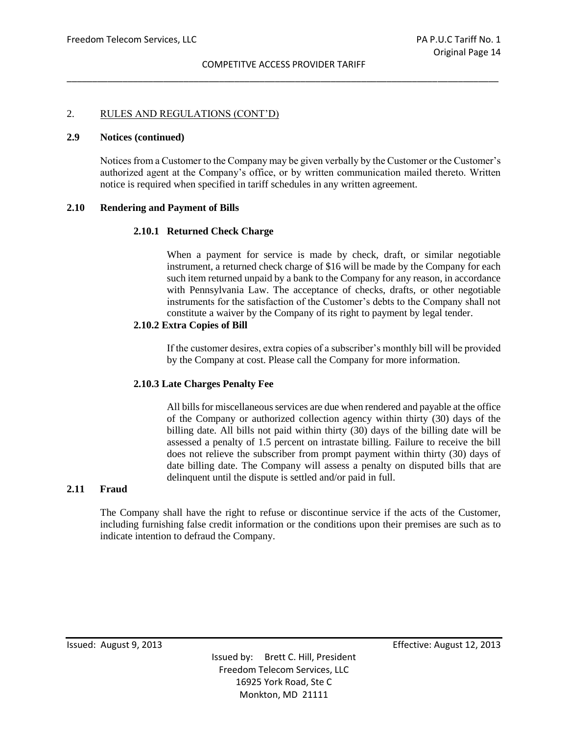#### **2.9 Notices (continued)**

Notices from a Customer to the Company may be given verbally by the Customer or the Customer's authorized agent at the Company's office, or by written communication mailed thereto. Written notice is required when specified in tariff schedules in any written agreement.

#### **2.10 Rendering and Payment of Bills**

## **2.10.1 Returned Check Charge**

When a payment for service is made by check, draft, or similar negotiable instrument, a returned check charge of \$16 will be made by the Company for each such item returned unpaid by a bank to the Company for any reason, in accordance with Pennsylvania Law. The acceptance of checks, drafts, or other negotiable instruments for the satisfaction of the Customer's debts to the Company shall not constitute a waiver by the Company of its right to payment by legal tender.

## **2.10.2 Extra Copies of Bill**

If the customer desires, extra copies of a subscriber's monthly bill will be provided by the Company at cost. Please call the Company for more information.

#### **2.10.3 Late Charges Penalty Fee**

All bills for miscellaneous services are due when rendered and payable at the office of the Company or authorized collection agency within thirty (30) days of the billing date. All bills not paid within thirty (30) days of the billing date will be assessed a penalty of 1.5 percent on intrastate billing. Failure to receive the bill does not relieve the subscriber from prompt payment within thirty (30) days of date billing date. The Company will assess a penalty on disputed bills that are delinquent until the dispute is settled and/or paid in full.

# **2.11 Fraud**

The Company shall have the right to refuse or discontinue service if the acts of the Customer, including furnishing false credit information or the conditions upon their premises are such as to indicate intention to defraud the Company.

Issued: August 9, 2013 Effective: August 12, 2013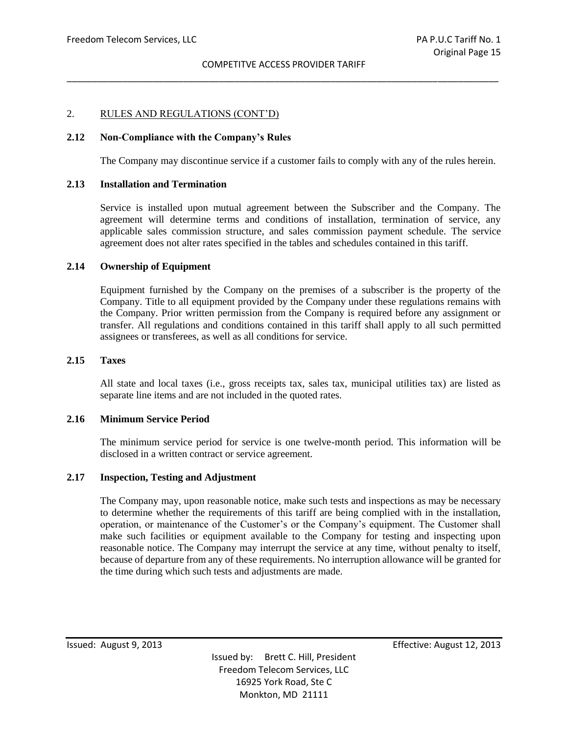## **2.12 Non-Compliance with the Company's Rules**

The Company may discontinue service if a customer fails to comply with any of the rules herein.

### **2.13 Installation and Termination**

Service is installed upon mutual agreement between the Subscriber and the Company. The agreement will determine terms and conditions of installation, termination of service, any applicable sales commission structure, and sales commission payment schedule. The service agreement does not alter rates specified in the tables and schedules contained in this tariff.

## **2.14 Ownership of Equipment**

Equipment furnished by the Company on the premises of a subscriber is the property of the Company. Title to all equipment provided by the Company under these regulations remains with the Company. Prior written permission from the Company is required before any assignment or transfer. All regulations and conditions contained in this tariff shall apply to all such permitted assignees or transferees, as well as all conditions for service.

#### **2.15 Taxes**

All state and local taxes (i.e., gross receipts tax, sales tax, municipal utilities tax) are listed as separate line items and are not included in the quoted rates.

## **2.16 Minimum Service Period**

The minimum service period for service is one twelve-month period. This information will be disclosed in a written contract or service agreement.

#### **2.17 Inspection, Testing and Adjustment**

The Company may, upon reasonable notice, make such tests and inspections as may be necessary to determine whether the requirements of this tariff are being complied with in the installation, operation, or maintenance of the Customer's or the Company's equipment. The Customer shall make such facilities or equipment available to the Company for testing and inspecting upon reasonable notice. The Company may interrupt the service at any time, without penalty to itself, because of departure from any of these requirements. No interruption allowance will be granted for the time during which such tests and adjustments are made.

Issued: August 9, 2013 Effective: August 12, 2013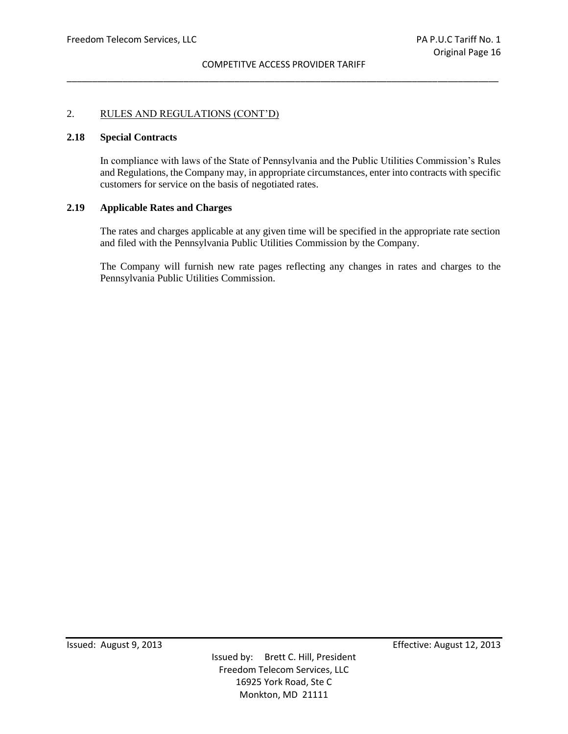## 2. RULES AND REGULATIONS (CONT'D)

#### **2.18 Special Contracts**

In compliance with laws of the State of Pennsylvania and the Public Utilities Commission's Rules and Regulations, the Company may, in appropriate circumstances, enter into contracts with specific customers for service on the basis of negotiated rates.

#### **2.19 Applicable Rates and Charges**

The rates and charges applicable at any given time will be specified in the appropriate rate section and filed with the Pennsylvania Public Utilities Commission by the Company.

The Company will furnish new rate pages reflecting any changes in rates and charges to the Pennsylvania Public Utilities Commission.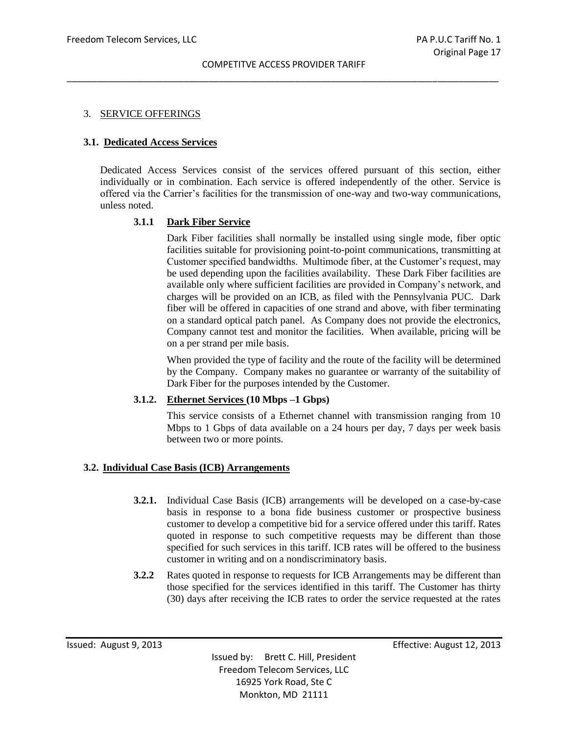### 3. SERVICE OFFERINGS

### **3.1. Dedicated Access Services**

Dedicated Access Services consist of the services offered pursuant of this section, either individually or in combination. Each service is offered independently of the other. Service is offered via the Carrier's facilities for the transmission of one-way and two-way communications, unless noted.

## **3.1.1 Dark Fiber Service**

Dark Fiber facilities shall normally be installed using single mode, fiber optic facilities suitable for provisioning point-to-point communications, transmitting at Customer specified bandwidths. Multimode fiber, at the Customer's request, may be used depending upon the facilities availability. These Dark Fiber facilities are available only where sufficient facilities are provided in Company's network, and charges will be provided on an ICB, as filed with the Pennsylvania PUC. Dark fiber will be offered in capacities of one strand and above, with fiber terminating on a standard optical patch panel. As Company does not provide the electronics, Company cannot test and monitor the facilities. When available, pricing will be on a per strand per mile basis.

When provided the type of facility and the route of the facility will be determined by the Company. Company makes no guarantee or warranty of the suitability of Dark Fiber for the purposes intended by the Customer.

## **3.1.2. Ethernet Services (10 Mbps –1 Gbps)**

This service consists of a Ethernet channel with transmission ranging from 10 Mbps to 1 Gbps of data available on a 24 hours per day, 7 days per week basis between two or more points.

#### **3.2. Individual Case Basis (ICB) Arrangements**

- **3.2.1.** Individual Case Basis (ICB) arrangements will be developed on a case-by-case basis in response to a bona fide business customer or prospective business customer to develop a competitive bid for a service offered under this tariff. Rates quoted in response to such competitive requests may be different than those specified for such services in this tariff. ICB rates will be offered to the business customer in writing and on a nondiscriminatory basis.
- **3.2.2** Rates quoted in response to requests for ICB Arrangements may be different than those specified for the services identified in this tariff. The Customer has thirty (30) days after receiving the ICB rates to order the service requested at the rates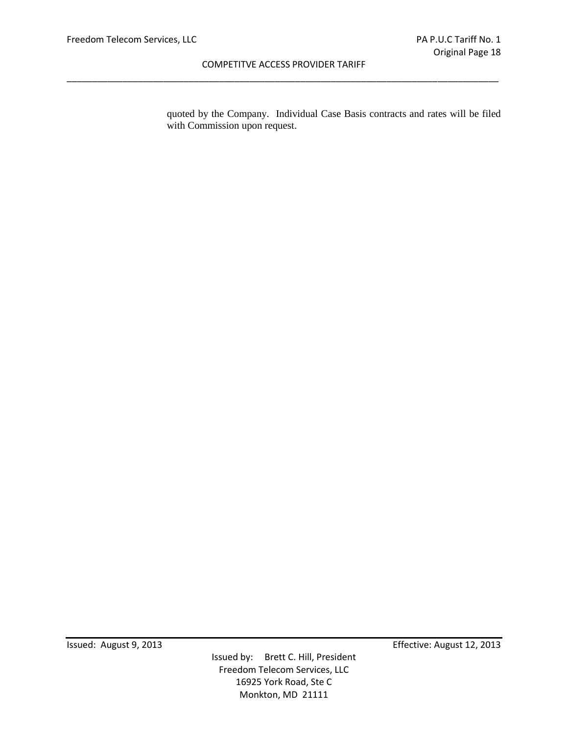quoted by the Company. Individual Case Basis contracts and rates will be filed with Commission upon request.

Issued by: Brett C. Hill, President Freedom Telecom Services, LLC 16925 York Road, Ste C Monkton, MD 21111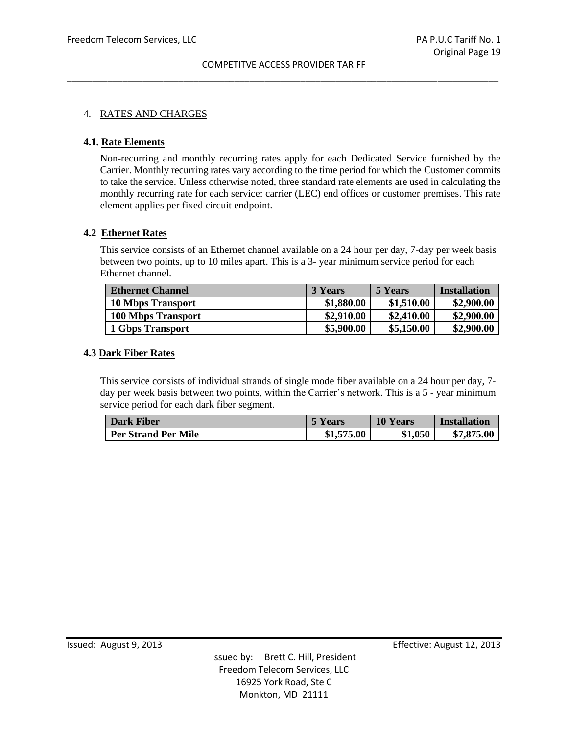### 4. RATES AND CHARGES

#### **4.1. Rate Elements**

Non-recurring and monthly recurring rates apply for each Dedicated Service furnished by the Carrier. Monthly recurring rates vary according to the time period for which the Customer commits to take the service. Unless otherwise noted, three standard rate elements are used in calculating the monthly recurring rate for each service: carrier (LEC) end offices or customer premises. This rate element applies per fixed circuit endpoint.

### **4.2 Ethernet Rates**

This service consists of an Ethernet channel available on a 24 hour per day, 7-day per week basis between two points, up to 10 miles apart. This is a 3- year minimum service period for each Ethernet channel.

| <b>Ethernet Channel</b>   | 3 Years    | 5 Years    | <b>Installation</b> |
|---------------------------|------------|------------|---------------------|
| <b>10 Mbps Transport</b>  | \$1,880.00 | \$1,510.00 | \$2,900.00          |
| <b>100 Mbps Transport</b> | \$2,910.00 | \$2,410.00 | \$2,900.00          |
| 1 Gbps Transport          | \$5,900.00 | \$5,150.00 | \$2,900.00          |

# **4.3 Dark Fiber Rates**

This service consists of individual strands of single mode fiber available on a 24 hour per day, 7 day per week basis between two points, within the Carrier's network. This is a 5 - year minimum service period for each dark fiber segment.

| <b>Dark Fiber</b>          | 5 Years    | <b>10 Years</b> | <b>Installation</b> |
|----------------------------|------------|-----------------|---------------------|
| <b>Per Strand Per Mile</b> | \$1,575.00 | \$1,050         | \$7,875.00          |